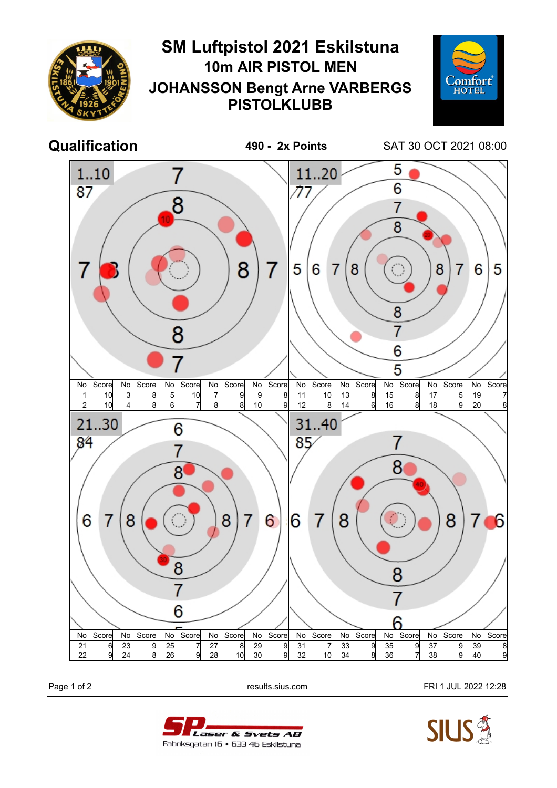

Page 1 of 2 **Page 1 of 2** results.sius.com **FRI 1 JUL 2022 12:28**